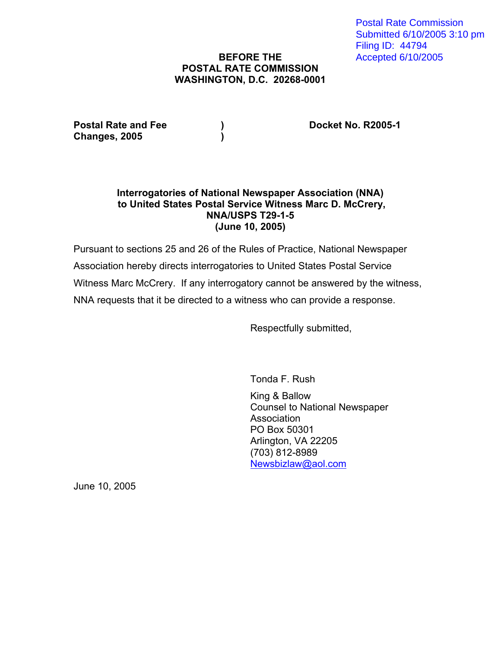Postal Rate Commission Submitted 6/10/2005 3:10 pm Filing ID: 44794 Accepted 6/10/2005

# **BEFORE THE POSTAL RATE COMMISSION WASHINGTON, D.C. 20268-0001**

Postal Rate and Fee (a) (b) Booket No. R2005-1 **Changes, 2005 )** 

## **Interrogatories of National Newspaper Association (NNA) to United States Postal Service Witness Marc D. McCrery, NNA/USPS T29-1-5 (June 10, 2005)**

Pursuant to sections 25 and 26 of the Rules of Practice, National Newspaper Association hereby directs interrogatories to United States Postal Service Witness Marc McCrery. If any interrogatory cannot be answered by the witness, NNA requests that it be directed to a witness who can provide a response.

Respectfully submitted,

Tonda F. Rush

 King & Ballow Counsel to National Newspaper Association PO Box 50301 Arlington, VA 22205 (703) 812-8989 Newsbizlaw@aol.com

June 10, 2005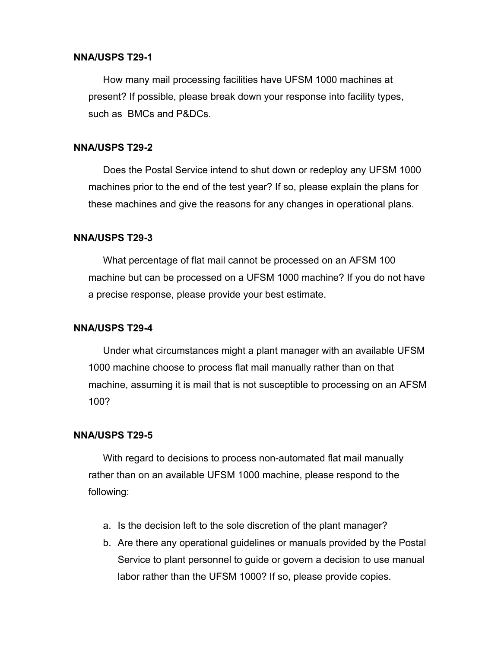## **NNA/USPS T29-1**

How many mail processing facilities have UFSM 1000 machines at present? If possible, please break down your response into facility types, such as BMCs and P&DCs.

#### **NNA/USPS T29-2**

Does the Postal Service intend to shut down or redeploy any UFSM 1000 machines prior to the end of the test year? If so, please explain the plans for these machines and give the reasons for any changes in operational plans.

#### **NNA/USPS T29-3**

What percentage of flat mail cannot be processed on an AFSM 100 machine but can be processed on a UFSM 1000 machine? If you do not have a precise response, please provide your best estimate.

## **NNA/USPS T29-4**

Under what circumstances might a plant manager with an available UFSM 1000 machine choose to process flat mail manually rather than on that machine, assuming it is mail that is not susceptible to processing on an AFSM 100?

### **NNA/USPS T29-5**

With regard to decisions to process non-automated flat mail manually rather than on an available UFSM 1000 machine, please respond to the following:

- a. Is the decision left to the sole discretion of the plant manager?
- b. Are there any operational guidelines or manuals provided by the Postal Service to plant personnel to guide or govern a decision to use manual labor rather than the UFSM 1000? If so, please provide copies.